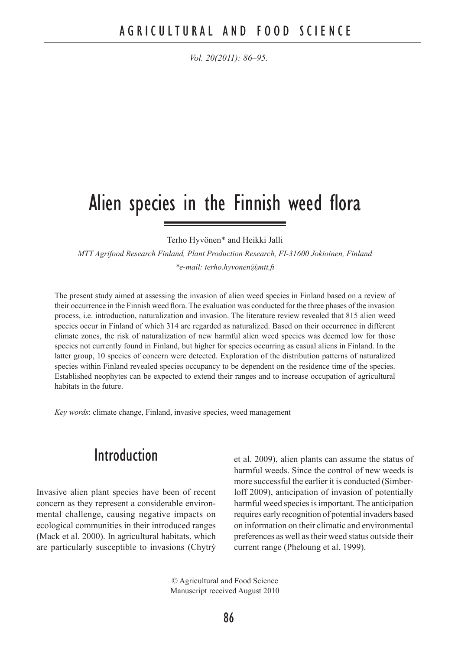# Alien species in the Finnish weed flora

Terho Hyvönen\* and Heikki Jalli

*MTT Agrifood Research Finland, Plant Production Research, FI-31600 Jokioinen, Finland \*e-mail: terho.hyvonen@mtt.fi*

The present study aimed at assessing the invasion of alien weed species in Finland based on a review of their occurrence in the Finnish weed flora. The evaluation was conducted for the three phases of the invasion process, i.e. introduction, naturalization and invasion. The literature review revealed that 815 alien weed species occur in Finland of which 314 are regarded as naturalized. Based on their occurrence in different climate zones, the risk of naturalization of new harmful alien weed species was deemed low for those species not currently found in Finland, but higher for species occurring as casual aliens in Finland. In the latter group, 10 species of concern were detected. Exploration of the distribution patterns of naturalized species within Finland revealed species occupancy to be dependent on the residence time of the species. Established neophytes can be expected to extend their ranges and to increase occupation of agricultural habitats in the future.

*Key words*: climate change, Finland, invasive species, weed management

## Introduction

Invasive alien plant species have been of recent concern as they represent a considerable environmental challenge, causing negative impacts on ecological communities in their introduced ranges (Mack et al. 2000). In agricultural habitats, which are particularly susceptible to invasions (Chytrý et al. 2009), alien plants can assume the status of harmful weeds. Since the control of new weeds is more successful the earlier it is conducted (Simberloff 2009), anticipation of invasion of potentially harmful weed species is important. The anticipation requires early recognition of potential invaders based on information on their climatic and environmental preferences as well as their weed status outside their current range (Pheloung et al. 1999).

© Agricultural and Food Science Manuscript received August 2010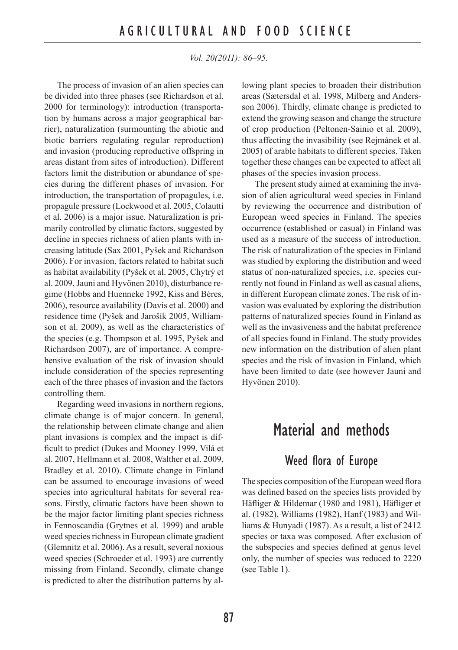The process of invasion of an alien species can be divided into three phases (see Richardson et al. 2000 for terminology): introduction (transportation by humans across a major geographical barrier), naturalization (surmounting the abiotic and biotic barriers regulating regular reproduction) and invasion (producing reproductive offspring in areas distant from sites of introduction). Different factors limit the distribution or abundance of species during the different phases of invasion. For introduction, the transportation of propagules, i.e. propagule pressure (Lockwood et al. 2005, Colautti et al. 2006) is a major issue. Naturalization is primarily controlled by climatic factors, suggested by decline in species richness of alien plants with increasing latitude (Sax 2001, Pyšek and Richardson 2006). For invasion, factors related to habitat such as habitat availability (Pyšek et al. 2005, Chytrý et al. 2009, Jauni and Hyvönen 2010), disturbance regime (Hobbs and Huenneke 1992, Kiss and Béres, 2006), resource availability (Davis et al. 2000) and residence time (Pyšek and Jarošík 2005, Williamson et al. 2009), as well as the characteristics of the species (e.g. Thompson et al. 1995, Pyšek and Richardson 2007), are of importance. A comprehensive evaluation of the risk of invasion should include consideration of the species representing each of the three phases of invasion and the factors controlling them.

Regarding weed invasions in northern regions, climate change is of major concern. In general, the relationship between climate change and alien plant invasions is complex and the impact is difficult to predict (Dukes and Mooney 1999, Vilá et al. 2007, Hellmann et al. 2008, Walther et al. 2009, Bradley et al. 2010). Climate change in Finland can be assumed to encourage invasions of weed species into agricultural habitats for several reasons. Firstly, climatic factors have been shown to be the major factor limiting plant species richness in Fennoscandia (Grytnes et al. 1999) and arable weed species richness in European climate gradient (Glemnitz et al. 2006). As a result, several noxious weed species (Schroeder et al. 1993) are currently missing from Finland. Secondly, climate change is predicted to alter the distribution patterns by allowing plant species to broaden their distribution areas (Sætersdal et al. 1998, Milberg and Andersson 2006). Thirdly, climate change is predicted to extend the growing season and change the structure of crop production (Peltonen-Sainio et al. 2009), thus affecting the invasibility (see Rejmánek et al. 2005) of arable habitats to different species. Taken together these changes can be expected to affect all phases of the species invasion process.

The present study aimed at examining the invasion of alien agricultural weed species in Finland by reviewing the occurrence and distribution of European weed species in Finland. The species occurrence (established or casual) in Finland was used as a measure of the success of introduction. The risk of naturalization of the species in Finland was studied by exploring the distribution and weed status of non-naturalized species, i.e. species currently not found in Finland as well as casual aliens, in different European climate zones. The risk of invasion was evaluated by exploring the distribution patterns of naturalized species found in Finland as well as the invasiveness and the habitat preference of all species found in Finland. The study provides new information on the distribution of alien plant species and the risk of invasion in Finland, which have been limited to date (see however Jauni and Hyvönen 2010).

## Material and methods

#### Weed flora of Europe

The species composition of the European weed flora was defined based on the species lists provided by Häfliger & Hildemar (1980 and 1981), Häfliger et al. (1982), Williams (1982), Hanf (1983) and Williams & Hunyadi (1987). As a result, a list of 2412 species or taxa was composed. After exclusion of the subspecies and species defined at genus level only, the number of species was reduced to 2220 (see Table 1).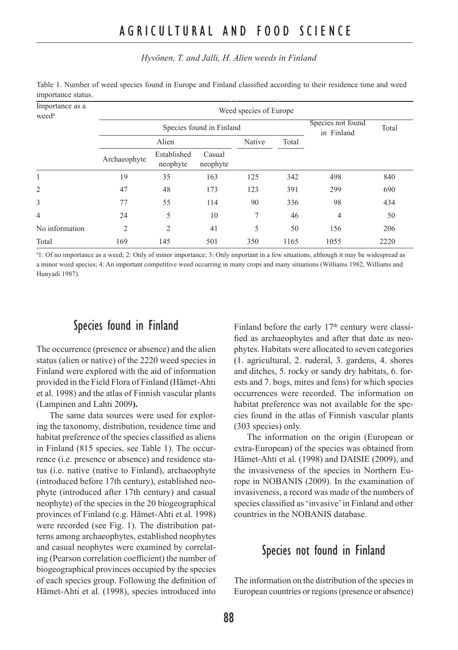#### *Hyvönen, T. and Jalli, H. Alien weeds in Finland*

| Importance as a<br>weed <sup>a</sup> | Weed species of Europe |                          |                                 |        |       |                |      |  |  |
|--------------------------------------|------------------------|--------------------------|---------------------------------|--------|-------|----------------|------|--|--|
|                                      |                        | Species found in Finland | Species not found<br>in Finland | Total  |       |                |      |  |  |
|                                      | Alien                  |                          |                                 | Native | Total |                |      |  |  |
|                                      | Archaeophyte           | Established<br>neophyte  | Casual<br>neophyte              |        |       |                |      |  |  |
| 1                                    | 19                     | 35                       | 163                             | 125    | 342   | 498            | 840  |  |  |
| $\overline{c}$                       | 47                     | 48                       | 173                             | 123    | 391   | 299            | 690  |  |  |
| 3                                    | 77                     | 55                       | 114                             | 90     | 336   | 98             | 434  |  |  |
| 4                                    | 24                     | 5                        | 10                              | 7      | 46    | $\overline{4}$ | 50   |  |  |
| No information                       | 2                      | 2                        | 41                              | 5      | 50    | 156            | 206  |  |  |
| Total                                | 169                    | 145                      | 501                             | 350    | 1165  | 1055           | 2220 |  |  |

Table 1. Number of weed species found in Europe and Finland classified according to their residence time and weed importance status.

a 1: Of no importance as a weed; 2: Only of minor importance; 3: Only important in a few situations, although it may be widespread as a minor weed species; 4: An important competitive weed occurring in many crops and many situations (Williams 1982, Williams and Hunyadi 1987).

### Species found in Finland

The occurrence (presence or absence) and the alien status (alien or native) of the 2220 weed species in Finland were explored with the aid of information provided in the Field Flora of Finland (Hämet-Ahti et al. 1998) and the atlas of Finnish vascular plants (Lampinen and Lahti 2009**).** 

The same data sources were used for exploring the taxonomy, distribution, residence time and habitat preference of the species classified as aliens in Finland (815 species, see Table 1). The occurrence (i.e. presence or absence) and residence status (i.e. native (native to Finland), archaeophyte (introduced before 17th century), established neophyte (introduced after 17th century) and casual neophyte) of the species in the 20 biogeographical provinces of Finland (e.g. Hämet-Ahti et al. 1998) were recorded (see Fig. 1). The distribution patterns among archaeophytes, established neophytes and casual neophytes were examined by correlating (Pearson correlation coefficient) the number of biogeographical provinces occupied by the species of each species group. Following the definition of Hämet-Ahti et al. (1998), species introduced into Finland before the early  $17<sup>th</sup>$  century were classified as archaeophytes and after that date as neophytes. Habitats were allocated to seven categories (1. agricultural, 2. ruderal, 3. gardens, 4. shores and ditches, 5. rocky or sandy dry habitats, 6. forests and 7. bogs, mires and fens) for which species occurrences were recorded. The information on habitat preference was not available for the species found in the atlas of Finnish vascular plants (303 species) only.

The information on the origin (European or extra-European) of the species was obtained from Hämet-Ahti et al. (1998) and DAISIE (2009), and the invasiveness of the species in Northern Europe in NOBANIS (2009). In the examination of invasiveness, a record was made of the numbers of species classified as 'invasive' in Finland and other countries in the NOBANIS database.

### Species not found in Finland

The information on the distribution of the species in European countries or regions (presence or absence)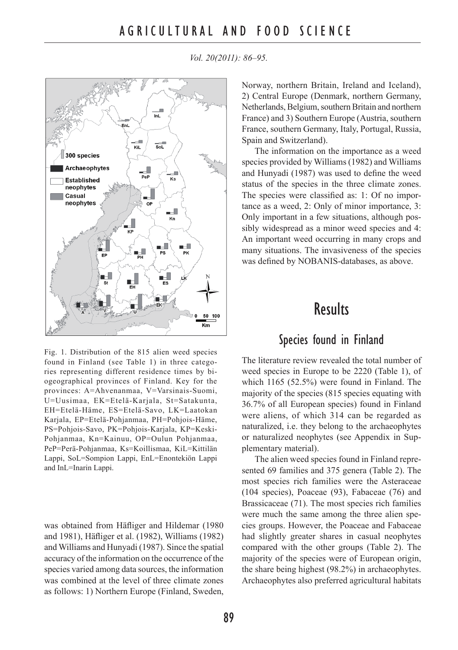

*Vol. 20(2011): 86–95.*

Norway, northern Britain, Ireland and Iceland), 2) Central Europe (Denmark, northern Germany, Netherlands, Belgium, southern Britain and northern France) and 3) Southern Europe (Austria, southern France, southern Germany, Italy, Portugal, Russia, Spain and Switzerland).

The information on the importance as a weed species provided by Williams (1982) and Williams and Hunyadi (1987) was used to define the weed status of the species in the three climate zones. The species were classified as: 1: Of no importance as a weed, 2: Only of minor importance, 3: Only important in a few situations, although possibly widespread as a minor weed species and 4: An important weed occurring in many crops and many situations. The invasiveness of the species was defined by NOBANIS-databases, as above.

## **Results**

### Species found in Finland

The literature review revealed the total number of weed species in Europe to be 2220 (Table 1), of which 1165 (52.5%) were found in Finland. The majority of the species (815 species equating with 36.7% of all European species) found in Finland were aliens, of which 314 can be regarded as naturalized, i.e. they belong to the archaeophytes or naturalized neophytes (see Appendix in Supplementary material).

The alien weed species found in Finland represented 69 families and 375 genera (Table 2). The most species rich families were the Asteraceae (104 species), Poaceae (93), Fabaceae (76) and Brassicaceae (71). The most species rich families were much the same among the three alien species groups. However, the Poaceae and Fabaceae had slightly greater shares in casual neophytes compared with the other groups (Table 2). The majority of the species were of European origin, the share being highest (98.2%) in archaeophytes. Archaeophytes also preferred agricultural habitats

Fig. 1. Distribution of the 815 alien weed species found in Finland (see Table 1) in three categories representing different residence times by biogeographical provinces of Finland. Key for the provinces: A=Ahvenanmaa, V=Varsinais-Suomi, U=Uusimaa, EK=Etelä-Karjala, St=Satakunta, EH=Etelä-Häme, ES=Etelä-Savo, LK=Laatokan Karjala, EP=Etelä-Pohjanmaa, PH=Pohjois-Häme, PS=Pohjois-Savo, PK=Pohjois-Karjala, KP=Keski-Pohjanmaa, Kn=Kainuu, OP=Oulun Pohjanmaa, PeP=Perä-Pohjanmaa, Ks=Koillismaa, KiL=Kittilän Lappi, SoL=Sompion Lappi, EnL=Enontekiön Lappi and InL=Inarin Lappi.

was obtained from Häfliger and Hildemar (1980 and 1981), Häfliger et al. (1982), Williams (1982) and Williams and Hunyadi (1987). Since the spatial accuracy of the information on the occurrence of the species varied among data sources, the information was combined at the level of three climate zones as follows: 1) Northern Europe (Finland, Sweden,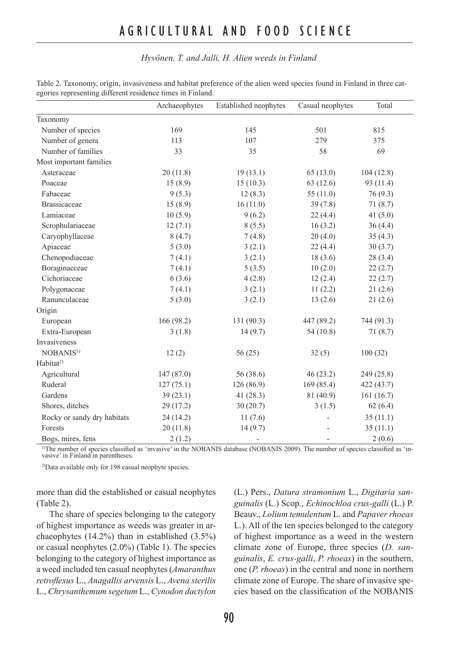### A G R I C U L T U R A L A N D F O O D S C I E N C E

#### *Hyvönen, T. and Jalli, H. Alien weeds in Finland*

|                             | Archaeophytes | Established neophytes | Casual neophytes | Total      |
|-----------------------------|---------------|-----------------------|------------------|------------|
| Taxonomy                    |               |                       |                  |            |
| Number of species           | 169           | 145                   | 501              | 815        |
| Number of genera            | 113           | 107                   | 279              | 375        |
| Number of families          | 33            | 35                    | 58               | 69         |
| Most important families     |               |                       |                  |            |
| Asteraceae                  | 20(11.8)      | 19(13.1)              | 65(13.0)         | 104(12.8)  |
| Poaceae                     | 15(8.9)       | 15(10.3)              | 63(12.6)         | 93 (11.4)  |
| Fabaceae                    | 9(5.3)        | 12(8.3)               | 55 $(11.0)$      | 76 (9.3)   |
| <b>Brassicaceae</b>         | 15(8.9)       | 16(11.0)              | 39(7.8)          | 71(8.7)    |
| Lamiaceae                   | 10(5.9)       | 9(6.2)                | 22(4.4)          | 41 $(5.0)$ |
| Scrophulariaceae            | 12(7.1)       | 8(5.5)                | 16(3.2)          | 36(4.4)    |
| Caryophyllaceae             | 8(4.7)        | 7(4.8)                | 20(4.0)          | 35(4.3)    |
| Apiaceae                    | 5(3.0)        | 3(2.1)                | 22(4.4)          | 30(3.7)    |
| Chenopodiaceae              | 7(4.1)        | 3(2.1)                | 18(3.6)          | 28(3.4)    |
| Boraginacceae               | 7(4.1)        | 5(3.5)                | 10(2.0)          | 22(2.7)    |
| Cichoriaceae                | 6(3.6)        | 4(2.8)                | 12(2.4)          | 22(2.7)    |
| Polygonaceae                | 7(4.1)        | 3(2.1)                | 11(2.2)          | 21(2.6)    |
| Ranunculaceae               | 5(3.0)        | 3(2.1)                | 13(2.6)          | 21(2.6)    |
| Origin                      |               |                       |                  |            |
| European                    | 166 (98.2)    | 131(90.3)             | 447 (89.2)       | 744 (91.3) |
| Extra-European              | 3(1.8)        | 14(9.7)               | 54(10.8)         | 71(8.7)    |
| Invasiveness                |               |                       |                  |            |
| NOBANIS <sup>1)</sup>       | 12(2)         | 56(25)                | 32(5)            | 100(32)    |
| Habitat <sup>2</sup>        |               |                       |                  |            |
| Agricultural                | 147(87.0)     | 56 (38.6)             | 46(23.2)         | 249 (25.8) |
| Ruderal                     | 127(75.1)     | 126 (86.9)            | 169(85.4)        | 422 (43.7) |
| Gardens                     | 39(23.1)      | 41 $(28.3)$           | 81 (40.9)        | 161(16.7)  |
| Shores, ditches             | 29(17.2)      | 30(20.7)              | 3(1.5)           | 62(6.4)    |
| Rocky or sandy dry habitats | 24(14.2)      | 11(7.6)               |                  | 35(11.1)   |
| Forests                     | 20(11.8)      | 14(9.7)               |                  | 35(11.1)   |
| Bogs, mires, fens           | 2(1.2)        |                       |                  | 2(0.6)     |

Table 2. Taxonomy, origin, invasiveness and habitat preference of the alien weed species found in Finland in three categories representing different residence times in Finland.

<sup>1)</sup>The number of species classified as 'invasive' in the NOBANIS database (NOBANIS 2009). The number of species classified as 'invasive' in Finland in parentheses.

2)Data available only for 198 casual neophyte species.

more than did the established or casual neophytes (Table 2).

The share of species belonging to the category of highest importance as weeds was greater in archaeophytes (14.2%) than in established (3.5%) or casual neophytes (2.0%) (Table 1). The species belonging to the category of highest importance as a weed included ten casual neophytes (*Amaranthus retroflexus* L., *Anagallis arvensis* L., *Avena sterilis* L., *Chrysanthemum segetum* L., *Cynodon dactylon* (L.) Pers., *Datura stramonium* L., *Digitaria sanguinalis* (L.) Scop., *Echinochloa crus-galli* (L.) P. Beauv., *Lolium temulentum* L. and *Papaver rhoeas* L.). All of the ten species belonged to the category of highest importance as a weed in the western climate zone of Europe, three species (*D. sanguinalis*, *E. crus-galli*, *P. rhoeas*) in the southern, one (*P. rhoeas*) in the central and none in northern climate zone of Europe. The share of invasive species based on the classification of the NOBANIS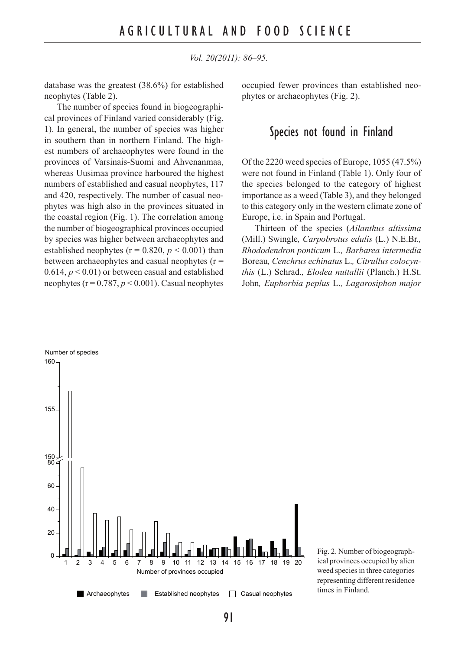database was the greatest (38.6%) for established neophytes (Table 2).

The number of species found in biogeographical provinces of Finland varied considerably (Fig. 1). In general, the number of species was higher in southern than in northern Finland. The highest numbers of archaeophytes were found in the provinces of Varsinais-Suomi and Ahvenanmaa, whereas Uusimaa province harboured the highest numbers of established and casual neophytes, 117 and 420, respectively. The number of casual neophytes was high also in the provinces situated in the coastal region (Fig. 1). The correlation among the number of biogeographical provinces occupied by species was higher between archaeophytes and established neophytes ( $r = 0.820$ ,  $p < 0.001$ ) than between archaeophytes and casual neophytes (r = 0.614,  $p < 0.01$ ) or between casual and established neophytes ( $r = 0.787$ ,  $p < 0.001$ ). Casual neophytes occupied fewer provinces than established neophytes or archaeophytes (Fig. 2).

### Species not found in Finland

Of the 2220 weed species of Europe, 1055 (47.5%) were not found in Finland (Table 1). Only four of the species belonged to the category of highest importance as a weed (Table 3), and they belonged to this category only in the western climate zone of Europe, i.e. in Spain and Portugal.

Thirteen of the species (*Ailanthus altissima*  (Mill.) Swingle*, Carpobrotus edulis* (L.) N.E.Br.*, Rhododendron ponticum* L.*, Barbarea intermedia* Boreau*, Cenchrus echinatus* L.*, Citrullus colocynthis* (L.) Schrad.*, Elodea nuttallii* (Planch.) H.St. John*, Euphorbia peplus* L.*, Lagarosiphon major*



Fig. 2. Number of biogeographical provinces occupied by alien weed species in three categories representing different residence times in Finland.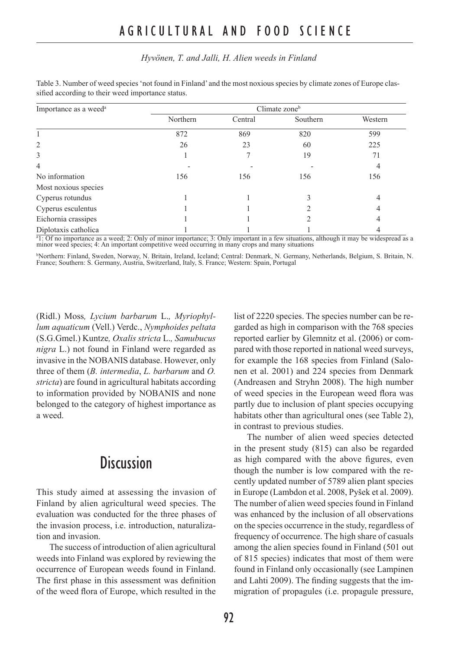#### *Hyvönen, T. and Jalli, H. Alien weeds in Finland*

| Importance as a weed <sup>a</sup> | Climate zone <sup>b</sup> |         |          |         |  |  |
|-----------------------------------|---------------------------|---------|----------|---------|--|--|
|                                   | Northern                  | Central | Southern | Western |  |  |
|                                   | 872                       | 869     | 820      | 599     |  |  |
| $\overline{c}$                    | 26                        | 23      | 60       | 225     |  |  |
| 3                                 |                           |         | 19       | 71      |  |  |
| 4                                 |                           |         |          |         |  |  |
| No information                    | 156                       | 156     | 156      | 156     |  |  |
| Most noxious species              |                           |         |          |         |  |  |
| Cyperus rotundus                  |                           |         |          | 4       |  |  |
| Cyperus esculentus                |                           |         |          |         |  |  |
| Eichornia crassipes               |                           |         |          |         |  |  |
| Diplotaxis catholica              |                           |         |          |         |  |  |

Table 3. Number of weed species 'not found in Finland' and the most noxious species by climate zones of Europe classified according to their weed importance status.

<sup>a</sup>1: Of no importance as a weed; 2: Only of minor importance; 3: Only important in a few situations, although it may be widespread as a minor weed species; 4: An important competitive weed occurring in many crops and many situations

<sup>b</sup>Northern: Finland, Sweden, Norway, N. Britain, Ireland, Iceland; Central: Denmark, N. Germany, Netherlands, Belgium, S. Britain, N.<br>France; Southern: S. Germany, Austria, Switzerland, Italy, S. France; Western: Spain, P

(Ridl.) Moss*, Lycium barbarum* L.*, Myriophyllum aquaticum* (Vell.) Verdc., *Nymphoides peltata*  (S.G.Gmel.) Kuntze*, Oxalis stricta* L.*, Samubucus nigra* L.) not found in Finland were regarded as invasive in the NOBANIS database. However, only three of them (*B. intermedia*, *L. barbarum* and *O. stricta*) are found in agricultural habitats according to information provided by NOBANIS and none belonged to the category of highest importance as a weed.

## **Discussion**

This study aimed at assessing the invasion of Finland by alien agricultural weed species. The evaluation was conducted for the three phases of the invasion process, i.e. introduction, naturalization and invasion.

The success of introduction of alien agricultural weeds into Finland was explored by reviewing the occurrence of European weeds found in Finland. The first phase in this assessment was definition of the weed flora of Europe, which resulted in the list of 2220 species. The species number can be regarded as high in comparison with the 768 species reported earlier by Glemnitz et al. (2006) or compared with those reported in national weed surveys, for example the 168 species from Finland (Salonen et al. 2001) and 224 species from Denmark (Andreasen and Stryhn 2008). The high number of weed species in the European weed flora was partly due to inclusion of plant species occupying habitats other than agricultural ones (see Table 2), in contrast to previous studies.

The number of alien weed species detected in the present study (815) can also be regarded as high compared with the above figures, even though the number is low compared with the recently updated number of 5789 alien plant species in Europe (Lambdon et al. 2008, Pyšek et al. 2009). The number of alien weed species found in Finland was enhanced by the inclusion of all observations on the species occurrence in the study, regardless of frequency of occurrence. The high share of casuals among the alien species found in Finland (501 out of 815 species) indicates that most of them were found in Finland only occasionally (see Lampinen and Lahti 2009). The finding suggests that the immigration of propagules (i.e. propagule pressure,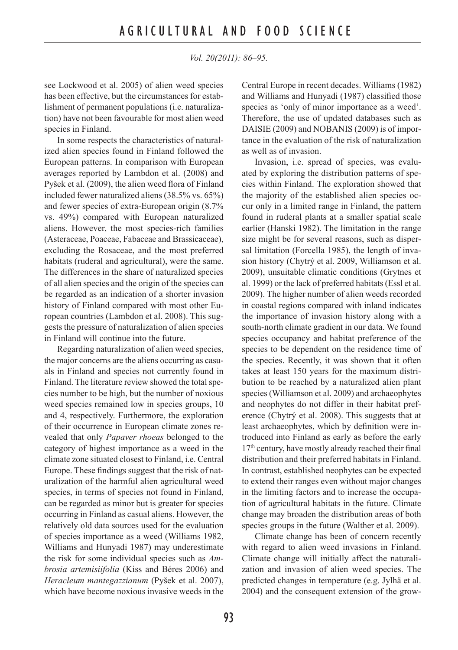see Lockwood et al. 2005) of alien weed species has been effective, but the circumstances for establishment of permanent populations (i.e. naturalization) have not been favourable for most alien weed species in Finland.

In some respects the characteristics of naturalized alien species found in Finland followed the European patterns. In comparison with European averages reported by Lambdon et al. (2008) and Pyšek et al. (2009), the alien weed flora of Finland included fewer naturalized aliens (38.5% vs. 65%) and fewer species of extra-European origin (8.7% vs. 49%) compared with European naturalized aliens. However, the most species-rich families (Asteraceae, Poaceae, Fabaceae and Brassicaceae), excluding the Rosaceae, and the most preferred habitats (ruderal and agricultural), were the same. The differences in the share of naturalized species of all alien species and the origin of the species can be regarded as an indication of a shorter invasion history of Finland compared with most other European countries (Lambdon et al. 2008). This suggests the pressure of naturalization of alien species in Finland will continue into the future.

Regarding naturalization of alien weed species, the major concerns are the aliens occurring as casuals in Finland and species not currently found in Finland. The literature review showed the total species number to be high, but the number of noxious weed species remained low in species groups, 10 and 4, respectively. Furthermore, the exploration of their occurrence in European climate zones revealed that only *Papaver rhoeas* belonged to the category of highest importance as a weed in the climate zone situated closest to Finland, i.e. Central Europe. These findings suggest that the risk of naturalization of the harmful alien agricultural weed species, in terms of species not found in Finland, can be regarded as minor but is greater for species occurring in Finland as casual aliens. However, the relatively old data sources used for the evaluation of species importance as a weed (Williams 1982, Williams and Hunyadi 1987) may underestimate the risk for some individual species such as *Ambrosia artemisiifolia* (Kiss and Béres 2006) and *Heracleum mantegazzianum* (Pyšek et al. 2007), which have become noxious invasive weeds in the Central Europe in recent decades. Williams (1982) and Williams and Hunyadi (1987) classified those species as 'only of minor importance as a weed'. Therefore, the use of updated databases such as DAISIE (2009) and NOBANIS (2009) is of importance in the evaluation of the risk of naturalization as well as of invasion.

Invasion, i.e. spread of species, was evaluated by exploring the distribution patterns of species within Finland. The exploration showed that the majority of the established alien species occur only in a limited range in Finland, the pattern found in ruderal plants at a smaller spatial scale earlier (Hanski 1982). The limitation in the range size might be for several reasons, such as dispersal limitation (Forcella 1985), the length of invasion history (Chytrý et al. 2009, Williamson et al. 2009), unsuitable climatic conditions (Grytnes et al. 1999) or the lack of preferred habitats (Essl et al. 2009). The higher number of alien weeds recorded in coastal regions compared with inland indicates the importance of invasion history along with a south-north climate gradient in our data. We found species occupancy and habitat preference of the species to be dependent on the residence time of the species. Recently, it was shown that it often takes at least 150 years for the maximum distribution to be reached by a naturalized alien plant species (Williamson et al. 2009) and archaeophytes and neophytes do not differ in their habitat preference (Chytrý et al. 2008). This suggests that at least archaeophytes, which by definition were introduced into Finland as early as before the early 17<sup>th</sup> century, have mostly already reached their final distribution and their preferred habitats in Finland. In contrast, established neophytes can be expected to extend their ranges even without major changes in the limiting factors and to increase the occupation of agricultural habitats in the future. Climate change may broaden the distribution areas of both species groups in the future (Walther et al. 2009).

Climate change has been of concern recently with regard to alien weed invasions in Finland. Climate change will initially affect the naturalization and invasion of alien weed species. The predicted changes in temperature (e.g. Jylhä et al. 2004) and the consequent extension of the grow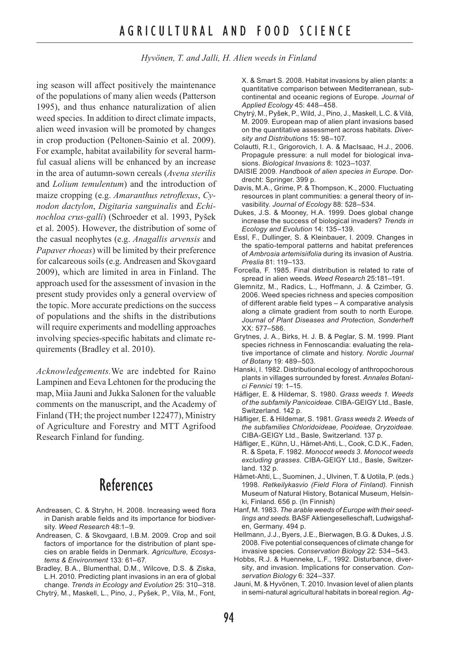*Hyvönen, T. and Jalli, H. Alien weeds in Finland*

ing season will affect positively the maintenance of the populations of many alien weeds (Patterson 1995), and thus enhance naturalization of alien weed species. In addition to direct climate impacts, alien weed invasion will be promoted by changes in crop production (Peltonen-Sainio et al. 2009). For example, habitat availability for several harmful casual aliens will be enhanced by an increase in the area of autumn-sown cereals (*Avena sterilis* and *Lolium temulentum*) and the introduction of maize cropping (e.g. *Amaranthus retroflexus*, *Cynodon dactylon*, *Digitaria sanguinalis* and *Echinochloa crus-galli*) (Schroeder et al. 1993, Pyšek et al. 2005). However, the distribution of some of the casual neophytes (e.g. *Anagallis arvensis* and *Papaver rhoeas*) will be limited by their preference for calcareous soils (e.g. Andreasen and Skovgaard 2009), which are limited in area in Finland. The approach used for the assessment of invasion in the present study provides only a general overview of the topic. More accurate predictions on the success of populations and the shifts in the distributions will require experiments and modelling approaches involving species-specific habitats and climate requirements (Bradley et al. 2010).

*Acknowledgements.*We are indebted for Raino Lampinen and Eeva Lehtonen for the producing the map, Miia Jauni and Jukka Salonen for the valuable comments on the manuscript, and the Academy of Finland (TH; the project number 122477), Ministry of Agriculture and Forestry and MTT Agrifood Research Finland for funding.

## References

- Andreasen, C. & Stryhn, H. 2008. Increasing weed flora in Danish arable fields and its importance for biodiversity. *Weed Research* 48:1–9.
- Andreasen, C. & Skovgaard, I.B.M. 2009. Crop and soil factors of importance for the distribution of plant species on arable fields in Denmark. *Agriculture, Ecosystems & Environment* 133: 61–67.
- Bradley, B.A., Blumenthal, D.M., Wilcove, D.S. & Ziska, L.H. 2010. Predicting plant invasions in an era of global change. *Trends in Ecology and Evolution* 25: 310–318.

Chytrý, M., Maskell, L., Pino, J., Pyšek, P., Vila, M., Font,

X. & Smart S. 2008. Habitat invasions by alien plants: a quantitative comparison between Mediterranean, subcontinental and oceanic regions of Europe. *Journal of Applied Ecology* 45: 448–458.

- Chytrý, M., Pyšek, P., Wild, J., Pino, J., Maskell, L.C. & Vilà, M. 2009. European map of alien plant invasions based on the quantitative assessment across habitats. *Diversity and Distributions* 15: 98–107.
- Colautti, R.I., Grigorovich, I. A. & MacIsaac, H.J., 2006. Propagule pressure: a null model for biological invasions. *Biological Invasions* 8: 1023–1037.
- DAISIE 2009. *Handbook of alien species in Europe*. Dordrecht: Springer. 399 p.
- Davis, M.A., Grime, P. & Thompson, K., 2000. Fluctuating resources in plant communities: a general theory of invasibility. *Journal of Ecology* 88: 528–534.
- Dukes, J.S. & Mooney, H.A. 1999. Does global change increase the success of biological invaders? *Trends in Ecology and Evolution* 14: 135–139.
- Essl, F., Dullinger, S. & Kleinbauer, I. 2009. Changes in the spatio-temporal patterns and habitat preferences of *Ambrosia artemisiifolia* during its invasion of Austria. *Preslia* 81: 119–133.
- Forcella, F. 1985. Final distribution is related to rate of spread in alien weeds. *Weed Research* 25:181–191.
- Glemnitz, M., Radics, L., Hoffmann, J. & Czimber, G. 2006. Weed species richness and species composition of different arable field types – A comparative analysis along a climate gradient from south to north Europe. *Journal of Plant Diseases and Protection, Sonderheft* XX: 577–586.
- Grytnes, J. A., Birks, H. J. B. & Peglar, S. M. 1999. Plant species richness in Fennoscandia: evaluating the relative importance of climate and history. *Nordic Journal of Botany* 19: 489–503.
- Hanski, I. 1982. Distributional ecology of anthropochorous plants in villages surrounded by forest. *Annales Botanici Fennici* 19: 1–15.
- Häfliger, E. & Hildemar, S. 1980. *Grass weeds 1. Weeds of the subfamily Panicoideae*. CIBA-GEIGY Ltd., Basle, Switzerland. 142 p.
- Häfliger, E. & Hildemar, S. 1981. *Grass weeds 2. Weeds of the subfamilies Chloridoideae, Pooideae, Oryzoideae*. CIBA-GEIGY Ltd., Basle, Switzerland. 137 p.
- Häfliger, E., Kühn, U., Hämet-Ahti, L., Cook, C.D.K., Faden, R. & Speta, F. 1982. *Monocot weeds 3. Monocot weeds excluding grasses*. CIBA-GEIGY Ltd., Basle, Switzerland. 132 p.
- Hämet-Ahti, L., Suominen, J., Ulvinen, T. & Uotila, P. (eds.) 1998. *Retkeilykasvio (Field Flora of Finland).* Finnish Museum of Natural History, Botanical Museum, Helsinki, Finland. 656 p. (In Finnish)
- Hanf, M. 1983. *The arable weeds of Europe with their seedlings and seeds*. BASF Aktiengeselleschaft, Ludwigshafen, Germany. 494 p.
- Hellmann, J.J., Byers, J.E., Bierwagen, B.G. & Dukes, J.S. 2008. Five potential consequences of climate change for invasive species*. Conservation Biology* 22: 534–543.
- Hobbs, R.J. & Huenneke, L.F., 1992. Disturbance, diversity, and invasion. Implications for conservation. *Conservation Biology* 6: 324–337.
- Jauni, M. & Hyvönen, T. 2010. Invasion level of alien plants in semi-natural agricultural habitats in boreal region. *Ag-*